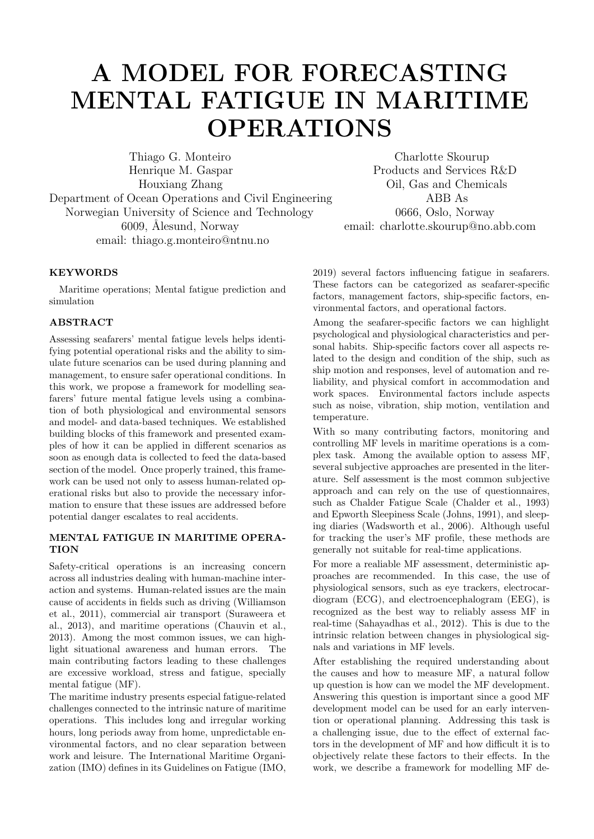# A MODEL FOR FORECASTING MENTAL FATIGUE IN MARITIME OPERATIONS

Thiago G. Monteiro Charlotte Skourup Henrique M. Gaspar Products and Services R&D Houxiang Zhang **Oil**, Gas and Chemicals Department of Ocean Operations and Civil Engineering ABB As Norwegian University of Science and Technology 0666, Oslo, Norway 6009, Ålesund, Norway email: charlotte.skourup@no.abb.com email: thiago.g.monteiro@ntnu.no

# **KEYWORDS**

Maritime operations; Mental fatigue prediction and simulation

## ABSTRACT

Assessing seafarers' mental fatigue levels helps identifying potential operational risks and the ability to simulate future scenarios can be used during planning and management, to ensure safer operational conditions. In this work, we propose a framework for modelling seafarers' future mental fatigue levels using a combination of both physiological and environmental sensors and model- and data-based techniques. We established building blocks of this framework and presented examples of how it can be applied in different scenarios as soon as enough data is collected to feed the data-based section of the model. Once properly trained, this framework can be used not only to assess human-related operational risks but also to provide the necessary information to ensure that these issues are addressed before potential danger escalates to real accidents.

## MENTAL FATIGUE IN MARITIME OPERA-**TION**

Safety-critical operations is an increasing concern across all industries dealing with human-machine interaction and systems. Human-related issues are the main cause of accidents in fields such as driving (Williamson et al., 2011), commercial air transport (Suraweera et al., 2013), and maritime operations (Chauvin et al., 2013). Among the most common issues, we can highlight situational awareness and human errors. The main contributing factors leading to these challenges are excessive workload, stress and fatigue, specially mental fatigue (MF).

The maritime industry presents especial fatigue-related challenges connected to the intrinsic nature of maritime operations. This includes long and irregular working hours, long periods away from home, unpredictable environmental factors, and no clear separation between work and leisure. The International Maritime Organization (IMO) defines in its Guidelines on Fatigue (IMO,

Communications of the ECMS, Volume 34, Issue 1, Proceedings, ©ECMS Mike Steglich, Christian Mueller, Gaby Neumann, Mathias Walther (Editors) ISBN: 978-3-937436-68-5/978-3-937436-69-2(CD) ISSN 2522-2414 2019) several factors influencing fatigue in seafarers. These factors can be categorized as seafarer-specific factors, management factors, ship-specific factors, environmental factors, and operational factors.

Among the seafarer-specific factors we can highlight psychological and physiological characteristics and personal habits. Ship-specific factors cover all aspects related to the design and condition of the ship, such as ship motion and responses, level of automation and reliability, and physical comfort in accommodation and work spaces. Environmental factors include aspects such as noise, vibration, ship motion, ventilation and temperature.

With so many contributing factors, monitoring and controlling MF levels in maritime operations is a complex task. Among the available option to assess MF, several subjective approaches are presented in the literature. Self assessment is the most common subjective approach and can rely on the use of questionnaires, such as Chalder Fatigue Scale (Chalder et al., 1993) and Epworth Sleepiness Scale (Johns, 1991), and sleeping diaries (Wadsworth et al., 2006). Although useful for tracking the user's MF profile, these methods are generally not suitable for real-time applications.

For more a realiable MF assessment, deterministic approaches are recommended. In this case, the use of physiological sensors, such as eye trackers, electrocardiogram (ECG), and electroencephalogram (EEG), is recognized as the best way to reliably assess MF in real-time (Sahayadhas et al., 2012). This is due to the intrinsic relation between changes in physiological signals and variations in MF levels.

After establishing the required understanding about the causes and how to measure MF, a natural follow up question is how can we model the MF development. Answering this question is important since a good MF development model can be used for an early intervention or operational planning. Addressing this task is a challenging issue, due to the effect of external factors in the development of MF and how difficult it is to objectively relate these factors to their effects. In the work, we describe a framework for modelling MF de-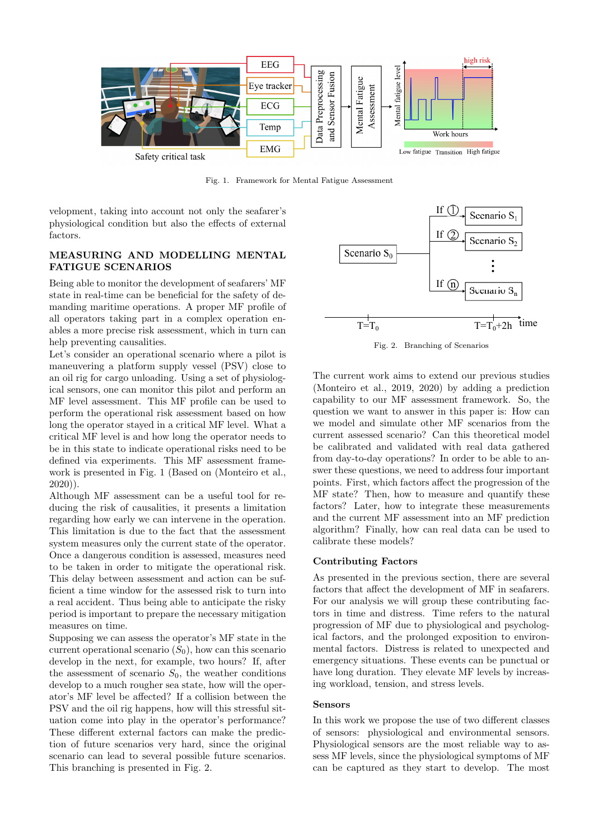

Fig. 1. Framework for Mental Fatigue Assessment

velopment, taking into account not only the seafarer's physiological condition but also the effects of external factors.

# MEASURING AND MODELLING MENTAL FATIGUE SCENARIOS

Being able to monitor the development of seafarers' MF state in real-time can be beneficial for the safety of demanding maritime operations. A proper MF profile of all operators taking part in a complex operation enables a more precise risk assessment, which in turn can help preventing causalities.

Let's consider an operational scenario where a pilot is maneuvering a platform supply vessel (PSV) close to an oil rig for cargo unloading. Using a set of physiological sensors, one can monitor this pilot and perform an MF level assessment. This MF profile can be used to perform the operational risk assessment based on how long the operator stayed in a critical MF level. What a critical MF level is and how long the operator needs to be in this state to indicate operational risks need to be defined via experiments. This MF assessment framework is presented in Fig. 1 (Based on (Monteiro et al., 2020)).

Although MF assessment can be a useful tool for reducing the risk of causalities, it presents a limitation regarding how early we can intervene in the operation. This limitation is due to the fact that the assessment system measures only the current state of the operator. Once a dangerous condition is assessed, measures need to be taken in order to mitigate the operational risk. This delay between assessment and action can be sufficient a time window for the assessed risk to turn into a real accident. Thus being able to anticipate the risky period is important to prepare the necessary mitigation measures on time.

Supposing we can assess the operator's MF state in the current operational scenario  $(S_0)$ , how can this scenario develop in the next, for example, two hours? If, after the assessment of scenario  $S_0$ , the weather conditions develop to a much rougher sea state, how will the operator's MF level be affected? If a collision between the PSV and the oil rig happens, how will this stressful situation come into play in the operator's performance? These different external factors can make the prediction of future scenarios very hard, since the original scenario can lead to several possible future scenarios. This branching is presented in Fig. 2.



Fig. 2. Branching of Scenarios

The current work aims to extend our previous studies (Monteiro et al., 2019, 2020) by adding a prediction capability to our MF assessment framework. So, the question we want to answer in this paper is: How can we model and simulate other MF scenarios from the current assessed scenario? Can this theoretical model be calibrated and validated with real data gathered from day-to-day operations? In order to be able to answer these questions, we need to address four important points. First, which factors affect the progression of the MF state? Then, how to measure and quantify these factors? Later, how to integrate these measurements and the current MF assessment into an MF prediction algorithm? Finally, how can real data can be used to calibrate these models?

## Contributing Factors

As presented in the previous section, there are several factors that affect the development of MF in seafarers. For our analysis we will group these contributing factors in time and distress. Time refers to the natural progression of MF due to physiological and psychological factors, and the prolonged exposition to environmental factors. Distress is related to unexpected and emergency situations. These events can be punctual or have long duration. They elevate MF levels by increasing workload, tension, and stress levels.

#### Sensors

In this work we propose the use of two different classes of sensors: physiological and environmental sensors. Physiological sensors are the most reliable way to assess MF levels, since the physiological symptoms of MF can be captured as they start to develop. The most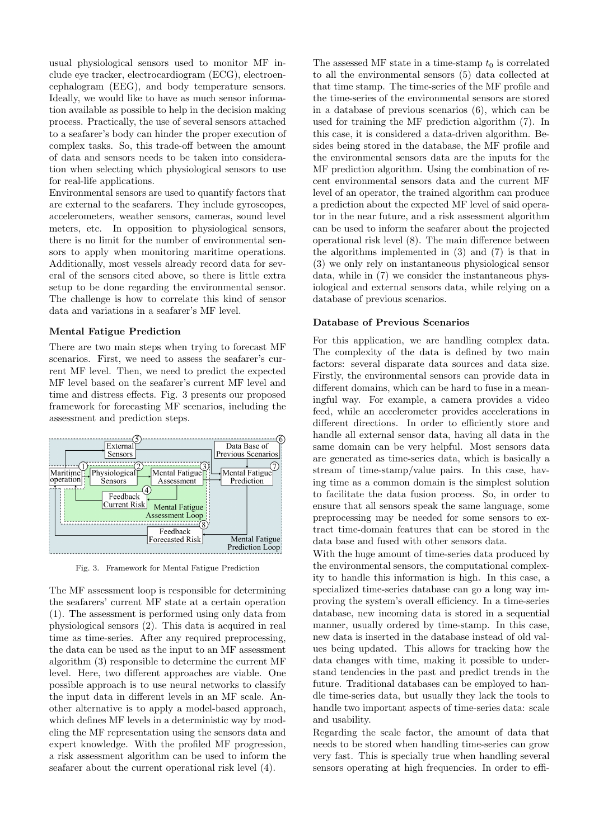usual physiological sensors used to monitor MF include eye tracker, electrocardiogram (ECG), electroencephalogram (EEG), and body temperature sensors. Ideally, we would like to have as much sensor information available as possible to help in the decision making process. Practically, the use of several sensors attached to a seafarer's body can hinder the proper execution of complex tasks. So, this trade-off between the amount of data and sensors needs to be taken into consideration when selecting which physiological sensors to use for real-life applications.

Environmental sensors are used to quantify factors that are external to the seafarers. They include gyroscopes, accelerometers, weather sensors, cameras, sound level meters, etc. In opposition to physiological sensors, there is no limit for the number of environmental sensors to apply when monitoring maritime operations. Additionally, most vessels already record data for several of the sensors cited above, so there is little extra setup to be done regarding the environmental sensor. The challenge is how to correlate this kind of sensor data and variations in a seafarer's MF level.

## Mental Fatigue Prediction

There are two main steps when trying to forecast MF scenarios. First, we need to assess the seafarer's current MF level. Then, we need to predict the expected MF level based on the seafarer's current MF level and time and distress effects. Fig. 3 presents our proposed framework for forecasting MF scenarios, including the assessment and prediction steps.



Fig. 3. Framework for Mental Fatigue Prediction

The MF assessment loop is responsible for determining the seafarers' current MF state at a certain operation (1). The assessment is performed using only data from physiological sensors (2). This data is acquired in real time as time-series. After any required preprocessing, the data can be used as the input to an MF assessment algorithm (3) responsible to determine the current MF level. Here, two different approaches are viable. One possible approach is to use neural networks to classify the input data in different levels in an MF scale. Another alternative is to apply a model-based approach, which defines MF levels in a deterministic way by modeling the MF representation using the sensors data and expert knowledge. With the profiled MF progression, a risk assessment algorithm can be used to inform the seafarer about the current operational risk level (4).

The assessed MF state in a time-stamp  $t_0$  is correlated to all the environmental sensors (5) data collected at that time stamp. The time-series of the MF profile and the time-series of the environmental sensors are stored in a database of previous scenarios (6), which can be used for training the MF prediction algorithm (7). In this case, it is considered a data-driven algorithm. Besides being stored in the database, the MF profile and the environmental sensors data are the inputs for the MF prediction algorithm. Using the combination of recent environmental sensors data and the current MF level of an operator, the trained algorithm can produce a prediction about the expected MF level of said operator in the near future, and a risk assessment algorithm can be used to inform the seafarer about the projected operational risk level (8). The main difference between the algorithms implemented in (3) and (7) is that in (3) we only rely on instantaneous physiological sensor data, while in (7) we consider the instantaneous physiological and external sensors data, while relying on a database of previous scenarios.

### Database of Previous Scenarios

For this application, we are handling complex data. The complexity of the data is defined by two main factors: several disparate data sources and data size. Firstly, the environmental sensors can provide data in different domains, which can be hard to fuse in a meaningful way. For example, a camera provides a video feed, while an accelerometer provides accelerations in different directions. In order to efficiently store and handle all external sensor data, having all data in the same domain can be very helpful. Most sensors data are generated as time-series data, which is basically a stream of time-stamp/value pairs. In this case, having time as a common domain is the simplest solution to facilitate the data fusion process. So, in order to ensure that all sensors speak the same language, some preprocessing may be needed for some sensors to extract time-domain features that can be stored in the data base and fused with other sensors data.

With the huge amount of time-series data produced by the environmental sensors, the computational complexity to handle this information is high. In this case, a specialized time-series database can go a long way improving the system's overall efficiency. In a time-series database, new incoming data is stored in a sequential manner, usually ordered by time-stamp. In this case, new data is inserted in the database instead of old values being updated. This allows for tracking how the data changes with time, making it possible to understand tendencies in the past and predict trends in the future. Traditional databases can be employed to handle time-series data, but usually they lack the tools to handle two important aspects of time-series data: scale and usability.

Regarding the scale factor, the amount of data that needs to be stored when handling time-series can grow very fast. This is specially true when handling several sensors operating at high frequencies. In order to effi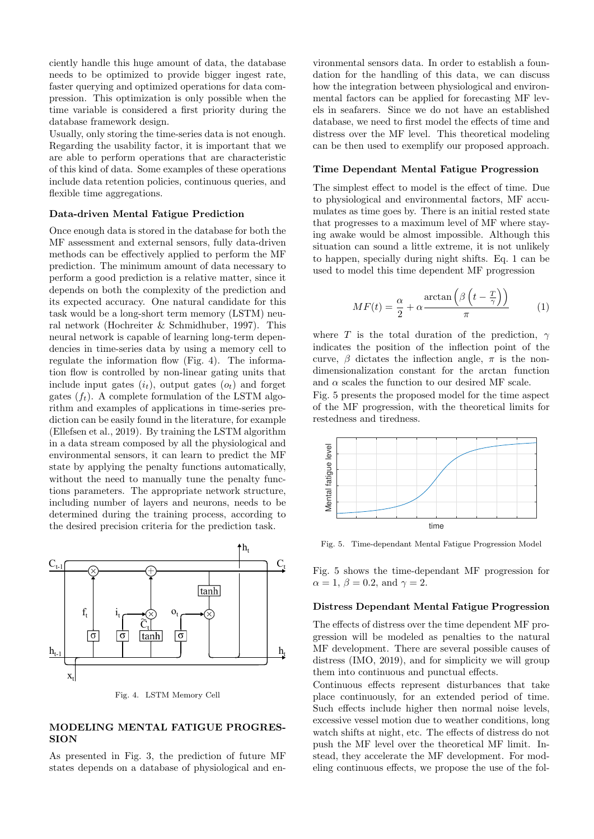ciently handle this huge amount of data, the database needs to be optimized to provide bigger ingest rate, faster querying and optimized operations for data compression. This optimization is only possible when the time variable is considered a first priority during the database framework design.

Usually, only storing the time-series data is not enough. Regarding the usability factor, it is important that we are able to perform operations that are characteristic of this kind of data. Some examples of these operations include data retention policies, continuous queries, and flexible time aggregations.

#### Data-driven Mental Fatigue Prediction

Once enough data is stored in the database for both the MF assessment and external sensors, fully data-driven methods can be effectively applied to perform the MF prediction. The minimum amount of data necessary to perform a good prediction is a relative matter, since it depends on both the complexity of the prediction and its expected accuracy. One natural candidate for this task would be a long-short term memory (LSTM) neural network (Hochreiter & Schmidhuber, 1997). This neural network is capable of learning long-term dependencies in time-series data by using a memory cell to regulate the information flow (Fig. 4). The information flow is controlled by non-linear gating units that include input gates  $(i_t)$ , output gates  $(o_t)$  and forget gates  $(f_t)$ . A complete formulation of the LSTM algorithm and examples of applications in time-series prediction can be easily found in the literature, for example (Ellefsen et al., 2019). By training the LSTM algorithm in a data stream composed by all the physiological and environmental sensors, it can learn to predict the MF state by applying the penalty functions automatically, without the need to manually tune the penalty functions parameters. The appropriate network structure, including number of layers and neurons, needs to be determined during the training process, according to the desired precision criteria for the prediction task.



Fig. 4. LSTM Memory Cell

## MODELING MENTAL FATIGUE PROGRES-**SION**

As presented in Fig. 3, the prediction of future MF states depends on a database of physiological and environmental sensors data. In order to establish a foundation for the handling of this data, we can discuss how the integration between physiological and environmental factors can be applied for forecasting MF levels in seafarers. Since we do not have an established database, we need to first model the effects of time and distress over the MF level. This theoretical modeling can be then used to exemplify our proposed approach.

#### Time Dependant Mental Fatigue Progression

The simplest effect to model is the effect of time. Due to physiological and environmental factors, MF accumulates as time goes by. There is an initial rested state that progresses to a maximum level of MF where staying awake would be almost impossible. Although this situation can sound a little extreme, it is not unlikely to happen, specially during night shifts. Eq. 1 can be used to model this time dependent MF progression

$$
MF(t) = \frac{\alpha}{2} + \alpha \frac{\arctan\left(\beta \left(t - \frac{T}{\gamma}\right)\right)}{\pi} \tag{1}
$$

where T is the total duration of the prediction,  $\gamma$ indicates the position of the inflection point of the curve,  $\beta$  dictates the inflection angle,  $\pi$  is the nondimensionalization constant for the arctan function and  $\alpha$  scales the function to our desired MF scale.

Fig. 5 presents the proposed model for the time aspect of the MF progression, with the theoretical limits for restedness and tiredness.



Fig. 5. Time-dependant Mental Fatigue Progression Model

Fig. 5 shows the time-dependant MF progression for  $\alpha = 1, \beta = 0.2, \text{ and } \gamma = 2.$ 

#### Distress Dependant Mental Fatigue Progression

The effects of distress over the time dependent MF progression will be modeled as penalties to the natural MF development. There are several possible causes of distress (IMO, 2019), and for simplicity we will group them into continuous and punctual effects.

Continuous effects represent disturbances that take place continuously, for an extended period of time. Such effects include higher then normal noise levels, excessive vessel motion due to weather conditions, long watch shifts at night, etc. The effects of distress do not push the MF level over the theoretical MF limit. Instead, they accelerate the MF development. For modeling continuous effects, we propose the use of the fol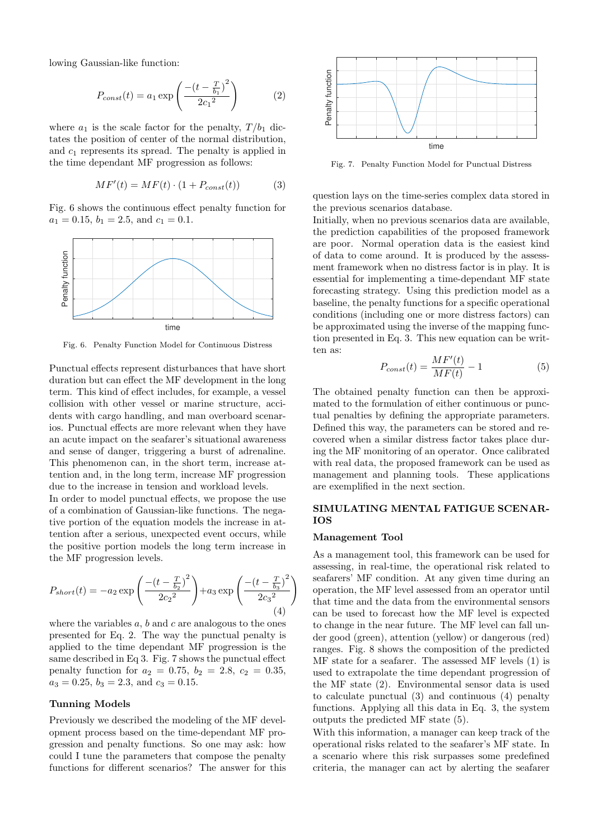lowing Gaussian-like function:

$$
P_{const}(t) = a_1 \exp\left(\frac{-(t - \frac{T}{b_1})^2}{2c_1^2}\right) \tag{2}
$$

where  $a_1$  is the scale factor for the penalty,  $T/b_1$  dictates the position of center of the normal distribution, and  $c_1$  represents its spread. The penalty is applied in the time dependant MF progression as follows:

$$
MF'(t) = MF(t) \cdot (1 + P_{const}(t))
$$
 (3)

Fig. 6 shows the continuous effect penalty function for  $a_1 = 0.15, b_1 = 2.5, \text{ and } c_1 = 0.1.$ 



Fig. 6. Penalty Function Model for Continuous Distress

Punctual effects represent disturbances that have short duration but can effect the MF development in the long term. This kind of effect includes, for example, a vessel collision with other vessel or marine structure, accidents with cargo handling, and man overboard scenarios. Punctual effects are more relevant when they have an acute impact on the seafarer's situational awareness and sense of danger, triggering a burst of adrenaline. This phenomenon can, in the short term, increase attention and, in the long term, increase MF progression due to the increase in tension and workload levels.

In order to model punctual effects, we propose the use of a combination of Gaussian-like functions. The negative portion of the equation models the increase in attention after a serious, unexpected event occurs, while the positive portion models the long term increase in the MF progression levels.

$$
P_{short}(t) = -a_2 \exp\left(\frac{-\left(t - \frac{T}{b_2}\right)^2}{2c_2^2}\right) + a_3 \exp\left(\frac{-\left(t - \frac{T}{b_3}\right)^2}{2c_3^2}\right) \tag{4}
$$

where the variables  $a, b$  and  $c$  are analogous to the ones presented for Eq. 2. The way the punctual penalty is applied to the time dependant MF progression is the same described in Eq 3. Fig. 7 shows the punctual effect penalty function for  $a_2 = 0.75$ ,  $b_2 = 2.8$ ,  $c_2 = 0.35$ ,  $a_3 = 0.25, b_3 = 2.3, \text{ and } c_3 = 0.15.$ 

# Tunning Models

Previously we described the modeling of the MF development process based on the time-dependant MF progression and penalty functions. So one may ask: how could I tune the parameters that compose the penalty functions for different scenarios? The answer for this



Fig. 7. Penalty Function Model for Punctual Distress

question lays on the time-series complex data stored in the previous scenarios database.

Initially, when no previous scenarios data are available, the prediction capabilities of the proposed framework are poor. Normal operation data is the easiest kind of data to come around. It is produced by the assessment framework when no distress factor is in play. It is essential for implementing a time-dependant MF state forecasting strategy. Using this prediction model as a baseline, the penalty functions for a specific operational conditions (including one or more distress factors) can be approximated using the inverse of the mapping function presented in Eq. 3. This new equation can be written as:

$$
P_{const}(t) = \frac{MF'(t)}{MF(t)} - 1\tag{5}
$$

The obtained penalty function can then be approximated to the formulation of either continuous or punctual penalties by defining the appropriate parameters. Defined this way, the parameters can be stored and recovered when a similar distress factor takes place during the MF monitoring of an operator. Once calibrated with real data, the proposed framework can be used as management and planning tools. These applications are exemplified in the next section.

## SIMULATING MENTAL FATIGUE SCENAR-IOS

#### Management Tool

As a management tool, this framework can be used for assessing, in real-time, the operational risk related to seafarers' MF condition. At any given time during an operation, the MF level assessed from an operator until that time and the data from the environmental sensors can be used to forecast how the MF level is expected to change in the near future. The MF level can fall under good (green), attention (yellow) or dangerous (red) ranges. Fig. 8 shows the composition of the predicted MF state for a seafarer. The assessed MF levels (1) is used to extrapolate the time dependant progression of the MF state (2). Environmental sensor data is used to calculate punctual (3) and continuous (4) penalty functions. Applying all this data in Eq. 3, the system outputs the predicted MF state (5).

With this information, a manager can keep track of the operational risks related to the seafarer's MF state. In a scenario where this risk surpasses some predefined criteria, the manager can act by alerting the seafarer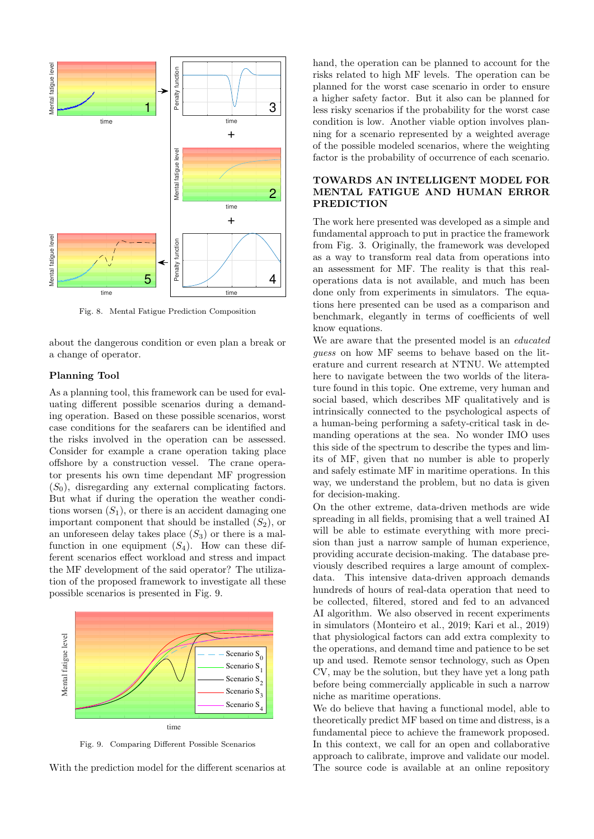

Fig. 8. Mental Fatigue Prediction Composition

about the dangerous condition or even plan a break or a change of operator.

# Planning Tool

As a planning tool, this framework can be used for evaluating different possible scenarios during a demanding operation. Based on these possible scenarios, worst case conditions for the seafarers can be identified and the risks involved in the operation can be assessed. Consider for example a crane operation taking place offshore by a construction vessel. The crane operator presents his own time dependant MF progression  $(S_0)$ , disregarding any external complicating factors. But what if during the operation the weather conditions worsen  $(S_1)$ , or there is an accident damaging one important component that should be installed  $(S_2)$ , or an unforeseen delay takes place  $(S_3)$  or there is a malfunction in one equipment  $(S_4)$ . How can these different scenarios effect workload and stress and impact the MF development of the said operator? The utilization of the proposed framework to investigate all these possible scenarios is presented in Fig. 9.



Fig. 9. Comparing Different Possible Scenarios

With the prediction model for the different scenarios at

hand, the operation can be planned to account for the risks related to high MF levels. The operation can be planned for the worst case scenario in order to ensure a higher safety factor. But it also can be planned for less risky scenarios if the probability for the worst case condition is low. Another viable option involves planning for a scenario represented by a weighted average of the possible modeled scenarios, where the weighting factor is the probability of occurrence of each scenario.

## TOWARDS AN INTELLIGENT MODEL FOR MENTAL FATIGUE AND HUMAN ERROR PREDICTION

The work here presented was developed as a simple and fundamental approach to put in practice the framework from Fig. 3. Originally, the framework was developed as a way to transform real data from operations into an assessment for MF. The reality is that this realoperations data is not available, and much has been done only from experiments in simulators. The equations here presented can be used as a comparison and benchmark, elegantly in terms of coefficients of well know equations.

We are aware that the presented model is an educated guess on how MF seems to behave based on the literature and current research at NTNU. We attempted here to navigate between the two worlds of the literature found in this topic. One extreme, very human and social based, which describes MF qualitatively and is intrinsically connected to the psychological aspects of a human-being performing a safety-critical task in demanding operations at the sea. No wonder IMO uses this side of the spectrum to describe the types and limits of MF, given that no number is able to properly and safely estimate MF in maritime operations. In this way, we understand the problem, but no data is given for decision-making.

On the other extreme, data-driven methods are wide spreading in all fields, promising that a well trained AI will be able to estimate everything with more precision than just a narrow sample of human experience, providing accurate decision-making. The database previously described requires a large amount of complexdata. This intensive data-driven approach demands hundreds of hours of real-data operation that need to be collected, filtered, stored and fed to an advanced AI algorithm. We also observed in recent experiments in simulators (Monteiro et al., 2019; Kari et al., 2019) that physiological factors can add extra complexity to the operations, and demand time and patience to be set up and used. Remote sensor technology, such as Open CV, may be the solution, but they have yet a long path before being commercially applicable in such a narrow niche as maritime operations.

We do believe that having a functional model, able to theoretically predict MF based on time and distress, is a fundamental piece to achieve the framework proposed. In this context, we call for an open and collaborative approach to calibrate, improve and validate our model. The source code is available at an online repository